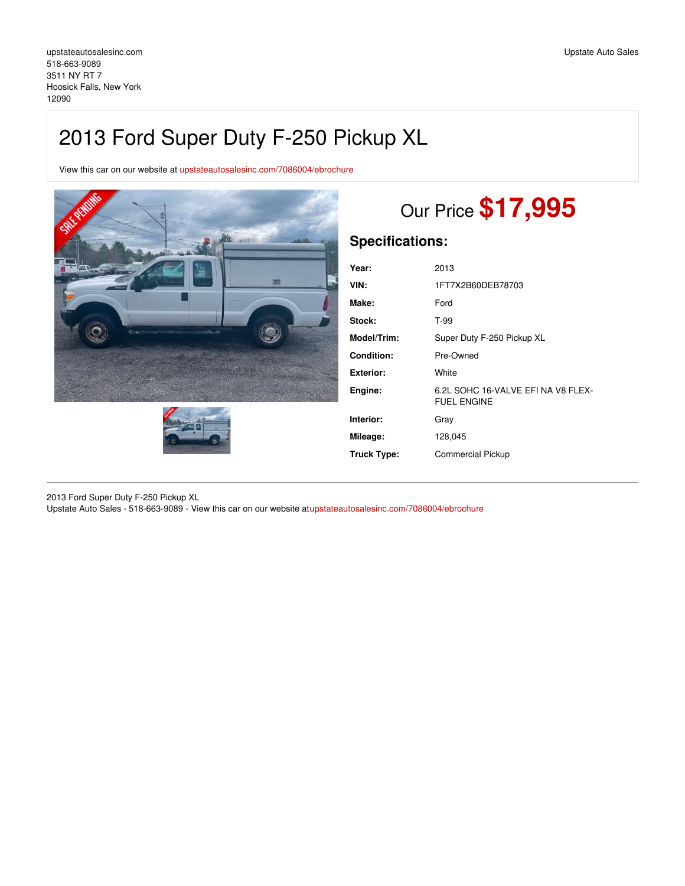## 2013 Ford Super Duty F-250 Pickup XL

View this car on our website at [upstateautosalesinc.com/7086004/ebrochure](https://upstateautosalesinc.com/vehicle/7086004/2013-ford-super-duty-f-250-pickup-xl-hoosick-falls-new-york-12090/7086004/ebrochure)





# Our Price **\$17,995**

## **Specifications:**

| Year:             | 2013                                                    |
|-------------------|---------------------------------------------------------|
| VIN:              | 1FT7X2B60DEB78703                                       |
| Make:             | Ford                                                    |
| Stock:            | T-99                                                    |
| Model/Trim:       | Super Duty F-250 Pickup XL                              |
| <b>Condition:</b> | Pre-Owned                                               |
| <b>Exterior:</b>  | White                                                   |
| Engine:           | 6.2L SOHC 16-VALVE EFINA V8 FLEX-<br><b>FUEL ENGINE</b> |
| Interior:         | Gray                                                    |
| Mileage:          | 128,045                                                 |
| Truck Type:       | <b>Commercial Pickup</b>                                |
|                   |                                                         |

2013 Ford Super Duty F-250 Pickup XL Upstate Auto Sales - 518-663-9089 - View this car on our website a[tupstateautosalesinc.com/7086004/ebrochure](https://upstateautosalesinc.com/vehicle/7086004/2013-ford-super-duty-f-250-pickup-xl-hoosick-falls-new-york-12090/7086004/ebrochure)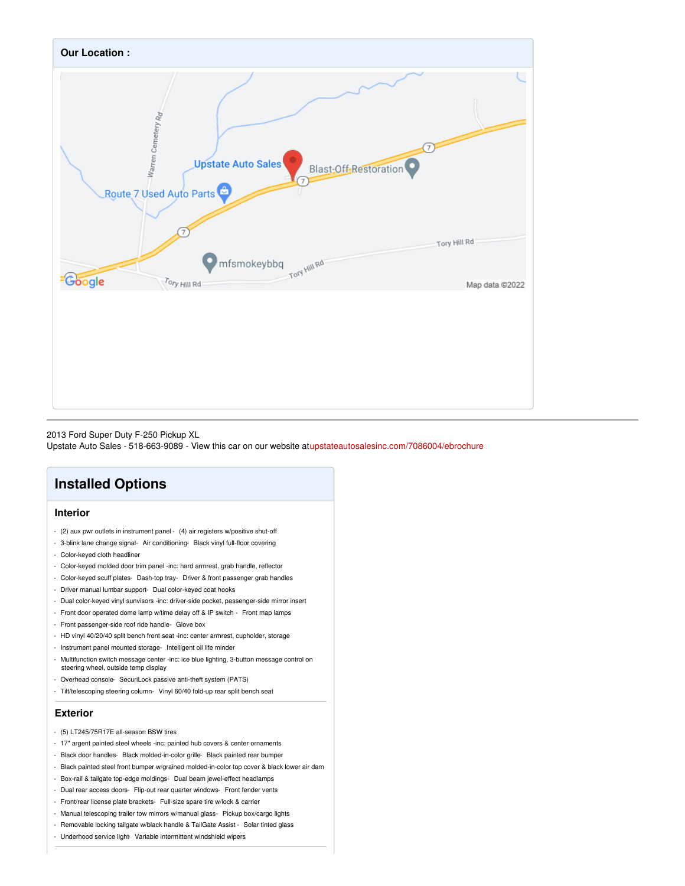

2013 Ford Super Duty F-250 Pickup XL

Upstate Auto Sales - 518-663-9089 - View this car on our website a[tupstateautosalesinc.com/7086004/ebrochure](https://upstateautosalesinc.com/vehicle/7086004/2013-ford-super-duty-f-250-pickup-xl-hoosick-falls-new-york-12090/7086004/ebrochure)

## **Installed Options**

#### **Interior**

- (2) aux pwr outlets in instrument panel (4) air registers w/positive shut-off
- 3-blink lane change signal- Air conditioning- Black vinyl full-floor covering
- Color-keyed cloth headliner
- Color-keyed molded door trim panel -inc: hard armrest, grab handle, reflector
- Color-keyed scuff plates- Dash-top tray- Driver & front passenger grab handles
- Driver manual lumbar support- Dual color-keyed coat hooks
- Dual color-keyed vinyl sunvisors -inc: driver-side pocket, passenger-side mirror insert
- Front door operated dome lamp w/time delay off & IP switch Front map lamps
- Front passenger-side roof ride handle- Glove box
- HD vinyl 40/20/40 split bench front seat -inc: center armrest, cupholder, storage
- Instrument panel mounted storage- Intelligent oil life minder
- Multifunction switch message center -inc: ice blue lighting, 3-button message control on steering wheel, outside temp display
- Overhead console- SecuriLock passive anti-theft system (PATS)
- Tilt/telescoping steering column- Vinyl 60/40 fold-up rear split bench seat

#### **Exterior**

- (5) LT245/75R17E all-season BSW tires
- 17" argent painted steel wheels -inc: painted hub covers & center ornaments
- Black door handles- Black molded-in-color grille- Black painted rear bumper
- Black painted steel front bumper w/grained molded-in-color top cover & black lower air dam
- Box-rail & tailgate top-edge moldings- Dual beam jewel-effect headlamps
- Dual rear access doors- Flip-out rear quarter windows- Front fender vents
- Front/rear license plate brackets- Full-size spare tire w/lock & carrier
- Manual telescoping trailer tow mirrors w/manual glass- Pickup box/cargo lights
- Removable locking tailgate w/black handle & TailGate Assist Solar tinted glass
- Underhood service light- Variable intermittent windshield wipers